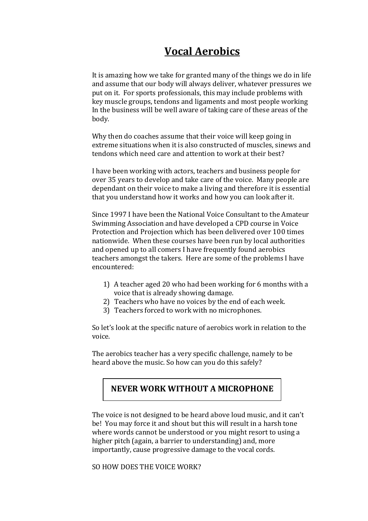## **Vocal Aerobics**

It is amazing how we take for granted many of the things we do in life and assume that our body will always deliver, whatever pressures we put on it. For sports professionals, this may include problems with key muscle groups, tendons and ligaments and most people working In the business will be well aware of taking care of these areas of the body.

Why then do coaches assume that their voice will keep going in extreme situations when it is also constructed of muscles, sinews and tendons which need care and attention to work at their best?

I have been working with actors, teachers and business people for over 35 years to develop and take care of the voice. Many people are dependant on their voice to make a living and therefore it is essential that you understand how it works and how you can look after it.

Since 1997 I have been the National Voice Consultant to the Amateur Swimming Association and have developed a CPD course in Voice Protection and Projection which has been delivered over 100 times nationwide. When these courses have been run by local authorities and opened up to all comers I have frequently found aerobics teachers amongst the takers. Here are some of the problems I have encountered:

- 1) A teacher aged 20 who had been working for 6 months with a voice that is already showing damage.
- 2) Teachers who have no voices by the end of each week.
- 3) Teachers forced to work with no microphones.

So let's look at the specific nature of aerobics work in relation to the voice.

The aerobics teacher has a very specific challenge, namely to be heard above the music. So how can you do this safely?

#### **NEVER WORK WITHOUT A MICROPHONE**

The voice is not designed to be heard above loud music, and it can't be! You may force it and shout but this will result in a harsh tone where words cannot be understood or you might resort to using a higher pitch (again, a barrier to understanding) and, more importantly, cause progressive damage to the vocal cords.

SO HOW DOES THE VOICE WORK?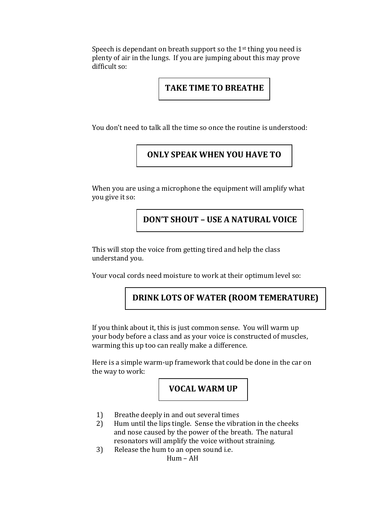Speech is dependant on breath support so the  $1<sup>st</sup>$  thing you need is plenty of air in the lungs. If you are jumping about this may prove difficult so:

#### **TAKE TIME TO BREATHE**

You don't need to talk all the time so once the routine is understood:

## **ONLY SPEAK WHEN YOU HAVE TO**

When you are using a microphone the equipment will amplify what you give it so:

## **DON'T SHOUT – USE A NATURAL VOICE**

This will stop the voice from getting tired and help the class understand you.

Your vocal cords need moisture to work at their optimum level so:

## **DRINK LOTS OF WATER (ROOM TEMERATURE)**

If you think about it, this is just common sense. You will warm up your body before a class and as your voice is constructed of muscles, warming this up too can really make a difference.

Here is a simple warm-up framework that could be done in the car on the way to work:

**VOCAL WARM UP**

- 1) Breathe deeply in and out several times
- 2) Hum until the lips tingle. Sense the vibration in the cheeks and nose caused by the power of the breath. The natural resonators will amplify the voice without straining.
- 3) Release the hum to an open sound i.e.

Hum – AH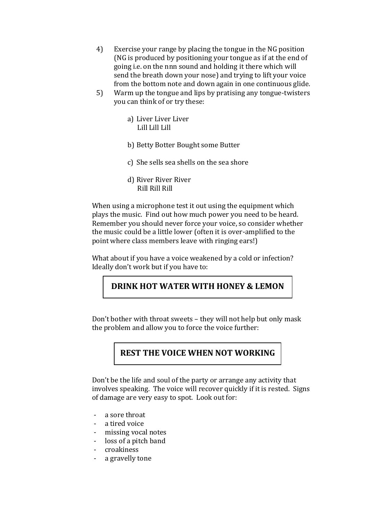- 4) Exercise your range by placing the tongue in the NG position (NG is produced by positioning your tongue as if at the end of going i.e. on the nnn sound and holding it there which will send the breath down your nose) and trying to lift your voice from the bottom note and down again in one continuous glide.
- 5) Warm up the tongue and lips by pratising any tongue-twisters you can think of or try these:
	- a) Liver Liver Liver Lill Lill Lill
	- b) Betty Botter Bought some Butter
	- c) She sells sea shells on the sea shore
	- d) River River River Rill Rill Rill

When using a microphone test it out using the equipment which plays the music. Find out how much power you need to be heard. Remember you should never force your voice, so consider whether the music could be a little lower (often it is over-amplified to the point where class members leave with ringing ears!)

What about if you have a voice weakened by a cold or infection? Ideally don't work but if you have to:

## **DRINK HOT WATER WITH HONEY & LEMON**

Don't bother with throat sweets – they will not help but only mask the problem and allow you to force the voice further:

## **REST THE VOICE WHEN NOT WORKING**

Don't be the life and soul of the party or arrange any activity that involves speaking. The voice will recover quickly if it is rested. Signs of damage are very easy to spot. Look out for:

- a sore throat
- a tired voice
- missing vocal notes
- loss of a pitch band
- croakiness
- a gravelly tone